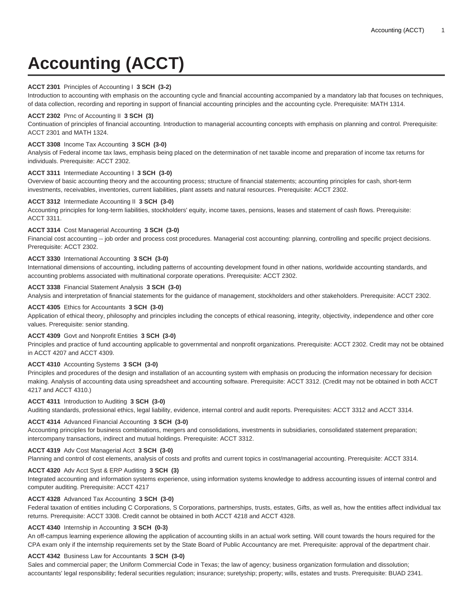# **Accounting (ACCT)**

# **ACCT 2301** Principles of Accounting I **3 SCH (3-2)**

Introduction to accounting with emphasis on the accounting cycle and financial accounting accompanied by a mandatory lab that focuses on techniques, of data collection, recording and reporting in support of financial accounting principles and the accounting cycle. Prerequisite: MATH 1314.

# **ACCT 2302** Prnc of Accounting II **3 SCH (3)**

Continuation of principles of financial accounting. Introduction to managerial accounting concepts with emphasis on planning and control. Prerequisite: ACCT 2301 and MATH 1324.

# **ACCT 3308** Income Tax Accounting **3 SCH (3-0)**

Analysis of Federal income tax laws, emphasis being placed on the determination of net taxable income and preparation of income tax returns for individuals. Prerequisite: ACCT 2302.

## **ACCT 3311** Intermediate Accounting I **3 SCH (3-0)**

Overview of basic accounting theory and the accounting process; structure of financial statements; accounting principles for cash, short-term investments, receivables, inventories, current liabilities, plant assets and natural resources. Prerequisite: ACCT 2302.

## **ACCT 3312** Intermediate Accounting II **3 SCH (3-0)**

Accounting principles for long-term liabilities, stockholders' equity, income taxes, pensions, leases and statement of cash flows. Prerequisite: ACCT 3311.

# **ACCT 3314** Cost Managerial Accounting **3 SCH (3-0)**

Financial cost accounting -- job order and process cost procedures. Managerial cost accounting: planning, controlling and specific project decisions. Prerequisite: ACCT 2302.

# **ACCT 3330** International Accounting **3 SCH (3-0)**

International dimensions of accounting, including patterns of accounting development found in other nations, worldwide accounting standards, and accounting problems associated with multinational corporate operations. Prerequisite: ACCT 2302.

## **ACCT 3338** Financial Statement Analysis **3 SCH (3-0)**

Analysis and interpretation of financial statements for the guidance of management, stockholders and other stakeholders. Prerequisite: ACCT 2302.

## **ACCT 4305** Ethics for Accountants **3 SCH (3-0)**

Application of ethical theory, philosophy and principles including the concepts of ethical reasoning, integrity, objectivity, independence and other core values. Prerequisite: senior standing.

# **ACCT 4309** Govt and Nonprofit Entities **3 SCH (3-0)**

Principles and practice of fund accounting applicable to governmental and nonprofit organizations. Prerequisite: ACCT 2302. Credit may not be obtained in ACCT 4207 and ACCT 4309.

## **ACCT 4310** Accounting Systems **3 SCH (3-0)**

Principles and procedures of the design and installation of an accounting system with emphasis on producing the information necessary for decision making. Analysis of accounting data using spreadsheet and accounting software. Prerequisite: ACCT 3312. (Credit may not be obtained in both ACCT 4217 and ACCT 4310.)

## **ACCT 4311** Introduction to Auditing **3 SCH (3-0)**

Auditing standards, professional ethics, legal liability, evidence, internal control and audit reports. Prerequisites: ACCT 3312 and ACCT 3314.

# **ACCT 4314** Advanced Financial Accounting **3 SCH (3-0)**

Accounting principles for business combinations, mergers and consolidations, investments in subsidiaries, consolidated statement preparation; intercompany transactions, indirect and mutual holdings. Prerequisite: ACCT 3312.

## **ACCT 4319** Adv Cost Managerial Acct **3 SCH (3-0)**

Planning and control of cost elements, analysis of costs and profits and current topics in cost/managerial accounting. Prerequisite: ACCT 3314.

# **ACCT 4320** Adv Acct Syst & ERP Auditing **3 SCH (3)**

Integrated accounting and information systems experience, using information systems knowledge to address accounting issues of internal control and computer auditing. Prerequisite: ACCT 4217

## **ACCT 4328** Advanced Tax Accounting **3 SCH (3-0)**

Federal taxation of entities including C Corporations, S Corporations, partnerships, trusts, estates, Gifts, as well as, how the entities affect individual tax returns. Prerequisite: ACCT 3308. Credit cannot be obtained in both ACCT 4218 and ACCT 4328.

## **ACCT 4340** Internship in Accounting **3 SCH (0-3)**

An off-campus learning experience allowing the application of accounting skills in an actual work setting. Will count towards the hours required for the CPA exam only if the internship requirements set by the State Board of Public Accountancy are met. Prerequisite: approval of the department chair.

## **ACCT 4342** Business Law for Accountants **3 SCH (3-0)**

Sales and commercial paper; the Uniform Commercial Code in Texas; the law of agency; business organization formulation and dissolution; accountants' legal responsibility; federal securities regulation; insurance; suretyship; property; wills, estates and trusts. Prerequisite: BUAD 2341.